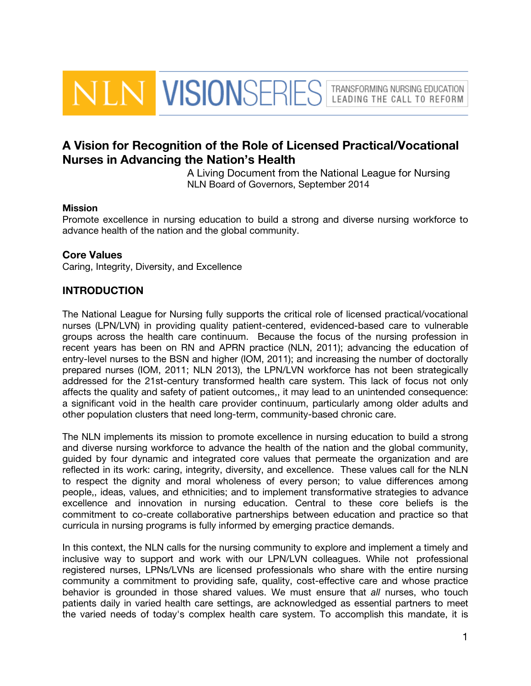**VLN VISIONSERIES** TRANSFORMING NURSING EDUCATION LEADING THE CALL TO REFORM

# A Vision for Recognition of the Role of Licensed Practical/Vocational Nurses in Advancing the Nation's Health

A Living Document from the National League for Nursing NLN Board of Governors, September 2014

#### **Mission**

Promote excellence in nursing education to build a strong and diverse nursing workforce to advance health of the nation and the global community.

#### Core Values

Caring, Integrity, Diversity, and Excellence

### INTRODUCTION

The National League for Nursing fully supports the critical role of licensed practical/vocational nurses (LPN/LVN) in providing quality patient-centered, evidenced-based care to vulnerable groups across the health care continuum. Because the focus of the nursing profession in recent years has been on RN and APRN practice (NLN, 2011); advancing the education of entry-level nurses to the BSN and higher (IOM, 2011); and increasing the number of doctorally prepared nurses (IOM, 2011; NLN 2013), the LPN/LVN workforce has not been strategically addressed for the 21st-century transformed health care system. This lack of focus not only affects the quality and safety of patient outcomes,, it may lead to an unintended consequence: a significant void in the health care provider continuum, particularly among older adults and other population clusters that need long-term, community-based chronic care.

The NLN implements its mission to promote excellence in nursing education to build a strong and diverse nursing workforce to advance the health of the nation and the global community, guided by four dynamic and integrated core values that permeate the organization and are reflected in its work: caring, integrity, diversity, and excellence. These values call for the NLN to respect the dignity and moral wholeness of every person; to value differences among people,, ideas, values, and ethnicities; and to implement transformative strategies to advance excellence and innovation in nursing education. Central to these core beliefs is the commitment to co-create collaborative partnerships between education and practice so that curricula in nursing programs is fully informed by emerging practice demands.

In this context, the NLN calls for the nursing community to explore and implement a timely and inclusive way to support and work with our LPN/LVN colleagues. While not professional registered nurses, LPNs/LVNs are licensed professionals who share with the entire nursing community a commitment to providing safe, quality, cost-effective care and whose practice behavior is grounded in those shared values. We must ensure that *all* nurses, who touch patients daily in varied health care settings, are acknowledged as essential partners to meet the varied needs of today's complex health care system. To accomplish this mandate, it is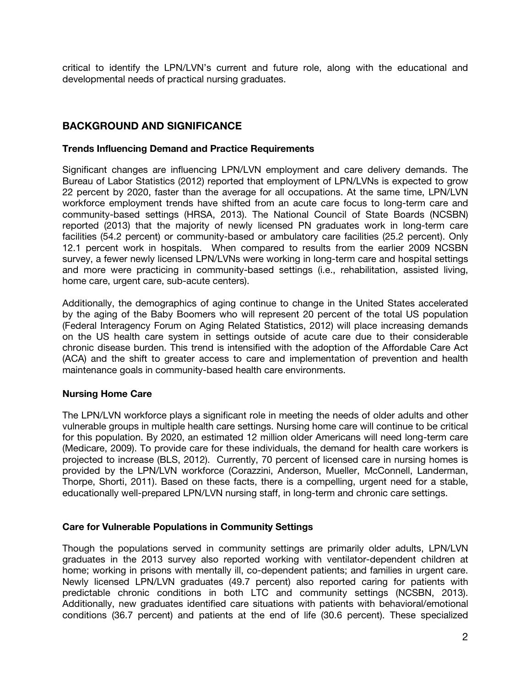critical to identify the LPN/LVN's current and future role, along with the educational and developmental needs of practical nursing graduates.

## BACKGROUND AND SIGNIFICANCE

#### Trends Influencing Demand and Practice Requirements

Significant changes are influencing LPN/LVN employment and care delivery demands. The Bureau of Labor Statistics (2012) reported that employment of LPN/LVNs is expected to grow 22 percent by 2020, faster than the average for all occupations. At the same time, LPN/LVN workforce employment trends have shifted from an acute care focus to long-term care and community-based settings (HRSA, 2013). The National Council of State Boards (NCSBN) reported (2013) that the majority of newly licensed PN graduates work in long-term care facilities (54.2 percent) or community-based or ambulatory care facilities (25.2 percent). Only 12.1 percent work in hospitals. When compared to results from the earlier 2009 NCSBN survey, a fewer newly licensed LPN/LVNs were working in long-term care and hospital settings and more were practicing in community-based settings (i.e., rehabilitation, assisted living, home care, urgent care, sub-acute centers).

Additionally, the demographics of aging continue to change in the United States accelerated by the aging of the Baby Boomers who will represent 20 percent of the total US population (Federal Interagency Forum on Aging Related Statistics, 2012) will place increasing demands on the US health care system in settings outside of acute care due to their considerable chronic disease burden. This trend is intensified with the adoption of the Affordable Care Act (ACA) and the shift to greater access to care and implementation of prevention and health maintenance goals in community-based health care environments.

#### Nursing Home Care

The LPN/LVN workforce plays a significant role in meeting the needs of older adults and other vulnerable groups in multiple health care settings. Nursing home care will continue to be critical for this population. By 2020, an estimated 12 million older Americans will need long-term care (Medicare, 2009). To provide care for these individuals, the demand for health care workers is projected to increase (BLS, 2012). Currently, 70 percent of licensed care in nursing homes is provided by the LPN/LVN workforce (Corazzini, Anderson, Mueller, McConnell, Landerman, Thorpe, Shorti, 2011). Based on these facts, there is a compelling, urgent need for a stable, educationally well-prepared LPN/LVN nursing staff, in long-term and chronic care settings.

#### Care for Vulnerable Populations in Community Settings

Though the populations served in community settings are primarily older adults, LPN/LVN graduates in the 2013 survey also reported working with ventilator-dependent children at home; working in prisons with mentally ill, co-dependent patients; and families in urgent care. Newly licensed LPN/LVN graduates (49.7 percent) also reported caring for patients with predictable chronic conditions in both LTC and community settings (NCSBN, 2013). Additionally, new graduates identified care situations with patients with behavioral/emotional conditions (36.7 percent) and patients at the end of life (30.6 percent). These specialized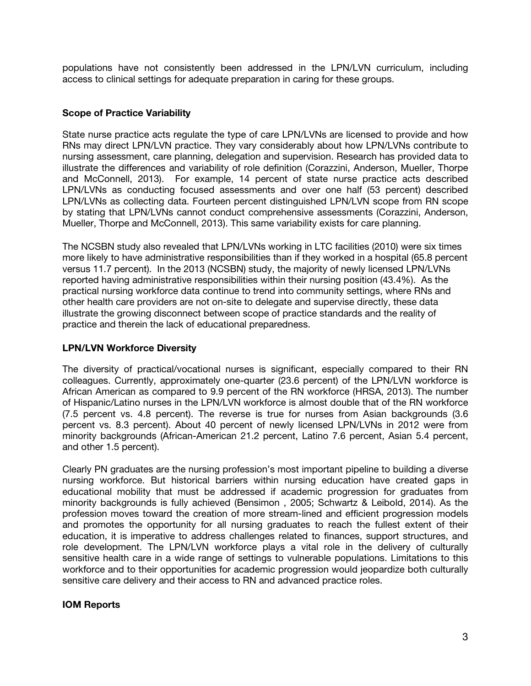populations have not consistently been addressed in the LPN/LVN curriculum, including access to clinical settings for adequate preparation in caring for these groups.

#### Scope of Practice Variability

State nurse practice acts regulate the type of care LPN/LVNs are licensed to provide and how RNs may direct LPN/LVN practice. They vary considerably about how LPN/LVNs contribute to nursing assessment, care planning, delegation and supervision. Research has provided data to illustrate the differences and variability of role definition (Corazzini, Anderson, Mueller, Thorpe and McConnell, 2013). For example, 14 percent of state nurse practice acts described LPN/LVNs as conducting focused assessments and over one half (53 percent) described LPN/LVNs as collecting data. Fourteen percent distinguished LPN/LVN scope from RN scope by stating that LPN/LVNs cannot conduct comprehensive assessments (Corazzini, Anderson, Mueller, Thorpe and McConnell, 2013). This same variability exists for care planning.

The NCSBN study also revealed that LPN/LVNs working in LTC facilities (2010) were six times more likely to have administrative responsibilities than if they worked in a hospital (65.8 percent versus 11.7 percent). In the 2013 (NCSBN) study, the majority of newly licensed LPN/LVNs reported having administrative responsibilities within their nursing position (43.4%). As the practical nursing workforce data continue to trend into community settings, where RNs and other health care providers are not on-site to delegate and supervise directly, these data illustrate the growing disconnect between scope of practice standards and the reality of practice and therein the lack of educational preparedness.

#### LPN/LVN Workforce Diversity

The diversity of practical/vocational nurses is significant, especially compared to their RN colleagues. Currently, approximately one-quarter (23.6 percent) of the LPN/LVN workforce is African American as compared to 9.9 percent of the RN workforce (HRSA, 2013). The number of Hispanic/Latino nurses in the LPN/LVN workforce is almost double that of the RN workforce (7.5 percent vs. 4.8 percent). The reverse is true for nurses from Asian backgrounds (3.6 percent vs. 8.3 percent). About 40 percent of newly licensed LPN/LVNs in 2012 were from minority backgrounds (African-American 21.2 percent, Latino 7.6 percent, Asian 5.4 percent, and other 1.5 percent).

Clearly PN graduates are the nursing profession's most important pipeline to building a diverse nursing workforce. But historical barriers within nursing education have created gaps in educational mobility that must be addressed if academic progression for graduates from minority backgrounds is fully achieved (Bensimon , 2005; Schwartz & Leibold, 2014). As the profession moves toward the creation of more stream-lined and efficient progression models and promotes the opportunity for all nursing graduates to reach the fullest extent of their education, it is imperative to address challenges related to finances, support structures, and role development. The LPN/LVN workforce plays a vital role in the delivery of culturally sensitive health care in a wide range of settings to vulnerable populations. Limitations to this workforce and to their opportunities for academic progression would jeopardize both culturally sensitive care delivery and their access to RN and advanced practice roles.

#### IOM Reports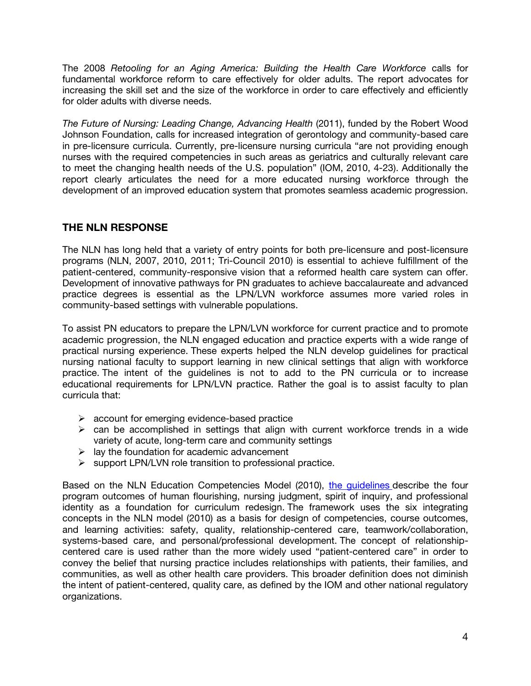The 2008 *Retooling for an Aging America: Building the Health Care Workforce* calls for fundamental workforce reform to care effectively for older adults. The report advocates for increasing the skill set and the size of the workforce in order to care effectively and efficiently for older adults with diverse needs.

*The Future of Nursing: Leading Change, Advancing Health* (2011), funded by the Robert Wood Johnson Foundation, calls for increased integration of gerontology and community-based care in pre-licensure curricula. Currently, pre-licensure nursing curricula "are not providing enough nurses with the required competencies in such areas as geriatrics and culturally relevant care to meet the changing health needs of the U.S. population" (IOM, 2010, 4-23). Additionally the report clearly articulates the need for a more educated nursing workforce through the development of an improved education system that promotes seamless academic progression.

# THE NLN RESPONSE

The NLN has long held that a variety of entry points for both pre-licensure and post-licensure programs (NLN, 2007, 2010, 2011; Tri-Council 2010) is essential to achieve fulfillment of the patient-centered, community-responsive vision that a reformed health care system can offer. Development of innovative pathways for PN graduates to achieve baccalaureate and advanced practice degrees is essential as the LPN/LVN workforce assumes more varied roles in community-based settings with vulnerable populations.

To assist PN educators to prepare the LPN/LVN workforce for current practice and to promote academic progression, the NLN engaged education and practice experts with a wide range of practical nursing experience. These experts helped the NLN develop guidelines for practical nursing national faculty to support learning in new clinical settings that align with workforce practice. The intent of the guidelines is not to add to the PN curricula or to increase educational requirements for LPN/LVN practice. Rather the goal is to assist faculty to plan curricula that:

- $\triangleright$  account for emerging evidence-based practice
- $\triangleright$  can be accomplished in settings that align with current workforce trends in a wide variety of acute, long-term care and community settings
- $\triangleright$  lay the foundation for academic advancement
- $\triangleright$  support LPN/LVN role transition to professional practice.

Based on the NLN Education Competencies Model (2010), the quidelines describe the four program outcomes of human flourishing, nursing judgment, spirit of inquiry, and professional identity as a foundation for curriculum redesign. The framework uses the six integrating concepts in the NLN model (2010) as a basis for design of competencies, course outcomes, and learning activities: safety, quality, relationship-centered care, teamwork/collaboration, systems-based care, and personal/professional development. The concept of relationshipcentered care is used rather than the more widely used "patient-centered care" in order to convey the belief that nursing practice includes relationships with patients, their families, and communities, as well as other health care providers. This broader definition does not diminish the intent of patient-centered, quality care, as defined by the IOM and other national regulatory organizations.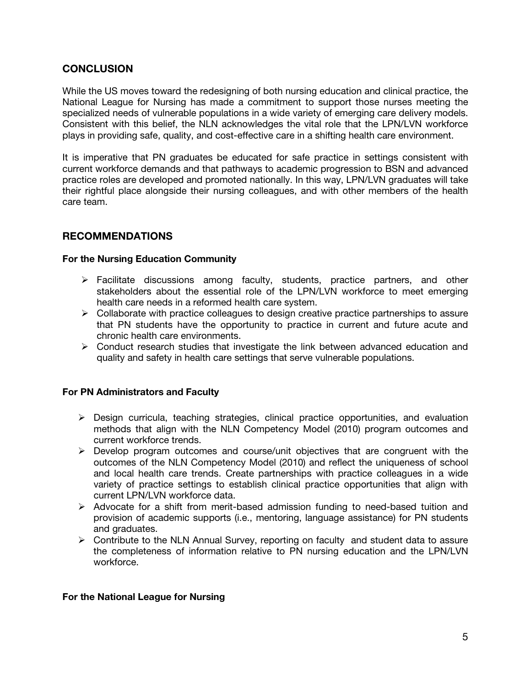### **CONCLUSION**

While the US moves toward the redesigning of both nursing education and clinical practice, the National League for Nursing has made a commitment to support those nurses meeting the specialized needs of vulnerable populations in a wide variety of emerging care delivery models. Consistent with this belief, the NLN acknowledges the vital role that the LPN/LVN workforce plays in providing safe, quality, and cost-effective care in a shifting health care environment.

It is imperative that PN graduates be educated for safe practice in settings consistent with current workforce demands and that pathways to academic progression to BSN and advanced practice roles are developed and promoted nationally. In this way, LPN/LVN graduates will take their rightful place alongside their nursing colleagues, and with other members of the health care team.

### RECOMMENDATIONS

#### For the Nursing Education Community

- $\triangleright$  Facilitate discussions among faculty, students, practice partners, and other stakeholders about the essential role of the LPN/LVN workforce to meet emerging health care needs in a reformed health care system.
- $\triangleright$  Collaborate with practice colleagues to design creative practice partnerships to assure that PN students have the opportunity to practice in current and future acute and chronic health care environments.
- $\triangleright$  Conduct research studies that investigate the link between advanced education and quality and safety in health care settings that serve vulnerable populations.

#### For PN Administrators and Faculty

- $\triangleright$  Design curricula, teaching strategies, clinical practice opportunities, and evaluation methods that align with the NLN Competency Model (2010) program outcomes and current workforce trends.
- $\triangleright$  Develop program outcomes and course/unit objectives that are congruent with the outcomes of the NLN Competency Model (2010) and reflect the uniqueness of school and local health care trends. Create partnerships with practice colleagues in a wide variety of practice settings to establish clinical practice opportunities that align with current LPN/LVN workforce data.
- $\triangleright$  Advocate for a shift from merit-based admission funding to need-based tuition and provision of academic supports (i.e., mentoring, language assistance) for PN students and graduates.
- $\triangleright$  Contribute to the NLN Annual Survey, reporting on faculty and student data to assure the completeness of information relative to PN nursing education and the LPN/LVN workforce.

#### For the National League for Nursing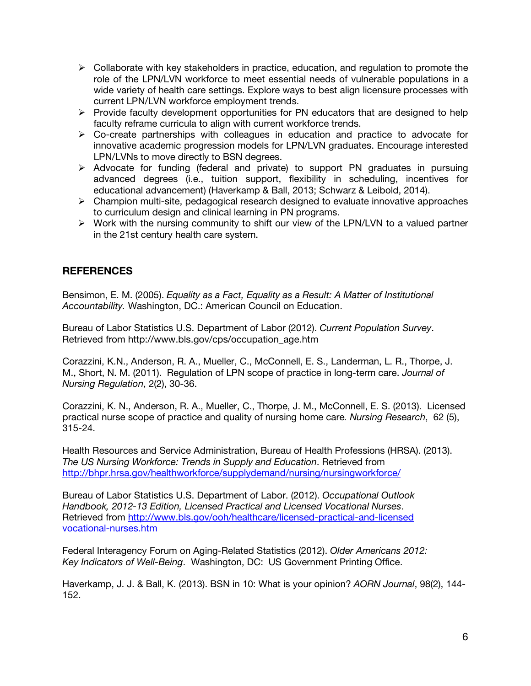- $\triangleright$  Collaborate with key stakeholders in practice, education, and regulation to promote the role of the LPN/LVN workforce to meet essential needs of vulnerable populations in a wide variety of health care settings. Explore ways to best align licensure processes with current LPN/LVN workforce employment trends.
- $\triangleright$  Provide faculty development opportunities for PN educators that are designed to help faculty reframe curricula to align with current workforce trends.
- $\triangleright$  Co-create partnerships with colleagues in education and practice to advocate for innovative academic progression models for LPN/LVN graduates. Encourage interested LPN/LVNs to move directly to BSN degrees.
- $\triangleright$  Advocate for funding (federal and private) to support PN graduates in pursuing advanced degrees (i.e., tuition support, flexibility in scheduling, incentives for educational advancement) (Haverkamp & Ball, 2013; Schwarz & Leibold, 2014).
- $\triangleright$  Champion multi-site, pedagogical research designed to evaluate innovative approaches to curriculum design and clinical learning in PN programs.
- $\triangleright$  Work with the nursing community to shift our view of the LPN/LVN to a valued partner in the 21st century health care system.

# **REFERENCES**

Bensimon, E. M. (2005). *Equality as a Fact, Equality as a Result: A Matter of Institutional Accountability.* Washington, DC.: American Council on Education.

Bureau of Labor Statistics U.S. Department of Labor (2012). *Current Population Survey*. Retrieved from http://www.bls.gov/cps/occupation\_age.htm

Corazzini, K.N., Anderson, R. A., Mueller, C., McConnell, E. S., Landerman, L. R., Thorpe, J. M., Short, N. M. (2011). Regulation of LPN scope of practice in long-term care. *Journal of Nursing Regulation*, 2(2), 30-36.

Corazzini, K. N., Anderson, R. A., Mueller, C., Thorpe, J. M., McConnell, E. S. (2013). Licensed practical nurse scope of practice and quality of nursing home care*. Nursing Research*, 62 (5), 315-24.

Health Resources and Service Administration, Bureau of Health Professions (HRSA). (2013). *The US Nursing Workforce: Trends in Supply and Education*. Retrieved from <http://bhpr.hrsa.gov/healthworkforce/supplydemand/nursing/nursingworkforce/>

Bureau of Labor Statistics U.S. Department of Labor. (2012). *Occupational Outlook Handbook, 2012-13 Edition, Licensed Practical and Licensed Vocational Nurses*. Retrieved from [http://www.bls.gov/ooh/healthcare/licensed-practical-and-licensed](http://www.bls.gov/ooh/healthcare/licensed-practical-and-licensedvocational-nurses.htm) [vocational-nurses.htm](http://www.bls.gov/ooh/healthcare/licensed-practical-and-licensedvocational-nurses.htm)

Federal Interagency Forum on Aging-Related Statistics (2012). *Older Americans 2012: Key Indicators of Well-Being*. Washington, DC: US Government Printing Office.

Haverkamp, J. J. & Ball, K. (2013). BSN in 10: What is your opinion? *AORN Journal*, 98(2), 144- 152.